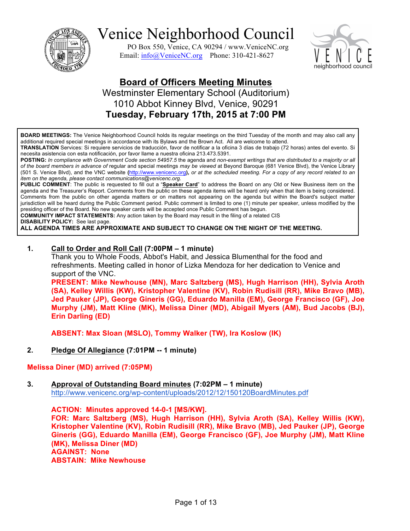

PO Box 550, Venice, CA 90294 / www.VeniceNC.org Email: info@VeniceNC.org Phone: 310-421-8627



## **Board of Officers Meeting Minutes** Westminster Elementary School (Auditorium) 1010 Abbot Kinney Blvd, Venice, 90291 **Tuesday, February 17th, 2015 at 7:00 PM**

**BOARD MEETINGS:** The Venice Neighborhood Council holds its regular meetings on the third Tuesday of the month and may also call any additional required special meetings in accordance with its Bylaws and the Brown Act. All are welcome to attend.

**TRANSLATION** Services: Si requiere servicios de traducción, favor de notificar a la oficina 3 días de trabajo (72 horas) antes del evento. Si necesita asistencia con esta notificación, por favor llame a nuestra oficina 213.473.5391.

**POSTING:** *In compliance with Government Code section 54957.5* the agenda and *non-exempt writings that are distributed to a majority or all of the board members in advance of* regular and special meetings *may be viewed* at Beyond Baroque (681 Venice Blvd), the Venice Library (501 S. Venice Blvd), and the VNC website **(**http://www.venicenc.org**),** *or at the scheduled meeting. For a copy of any record related to an item on the agenda, please contact communications@venicenc.org.*

**PUBLIC COMMENT**: The public is requested to fill out a "**Speaker Card**" to address the Board on any Old or New Business item on the agenda and the Treasurer's Report. Comments from the public on these agenda items will be heard only when that item is being considered. Comments from the public on other agenda matters or on matters not appearing on the agenda but within the Board's subject matter jurisdiction will be heard during the Public Comment period. Public comment is limited to one (1) minute per speaker, unless modified by the presiding officer of the Board. No new speaker cards will be accepted once Public Comment has begun.

**COMMUNITY IMPACT STATEMENTS:** Any action taken by the Board may result in the filing of a related CIS

**DISABILITY POLICY:** See last page.

**ALL AGENDA TIMES ARE APPROXIMATE AND SUBJECT TO CHANGE ON THE NIGHT OF THE MEETING.**

#### **1. Call to Order and Roll Call (7:00PM – 1 minute)**

Thank you to Whole Foods, Abbot's Habit, and Jessica Blumenthal for the food and refreshments. Meeting called in honor of Lizka Mendoza for her dedication to Venice and support of the VNC.

**PRESENT: Mike Newhouse (MN), Marc Saltzberg (MS), Hugh Harrison (HH), Sylvia Aroth (SA), Kelley Willis (KW), Kristopher Valentine (KV), Robin Rudisill (RR), Mike Bravo (MB), Jed Pauker (JP), George Gineris (GG), Eduardo Manilla (EM), George Francisco (GF), Joe Murphy (JM), Matt Kline (MK), Melissa Diner (MD), Abigail Myers (AM), Bud Jacobs (BJ), Erin Darling (ED)**

**ABSENT: Max Sloan (MSLO), Tommy Walker (TW), Ira Koslow (IK)**

#### **2. Pledge Of Allegiance (7:01PM -- 1 minute)**

#### **Melissa Diner (MD) arrived (7:05PM)**

**3. Approval of Outstanding Board minutes (7:02PM – 1 minute)** http://www.venicenc.org/wp-content/uploads/2012/12/150120BoardMinutes.pdf

**ACTION: Minutes approved 14-0-1 [MS/KW]. FOR: Marc Saltzberg (MS), Hugh Harrison (HH), Sylvia Aroth (SA), Kelley Willis (KW), Kristopher Valentine (KV), Robin Rudisill (RR), Mike Bravo (MB), Jed Pauker (JP), George Gineris (GG), Eduardo Manilla (EM), George Francisco (GF), Joe Murphy (JM), Matt Kline (MK), Melissa Diner (MD) AGAINST: None ABSTAIN: Mike Newhouse**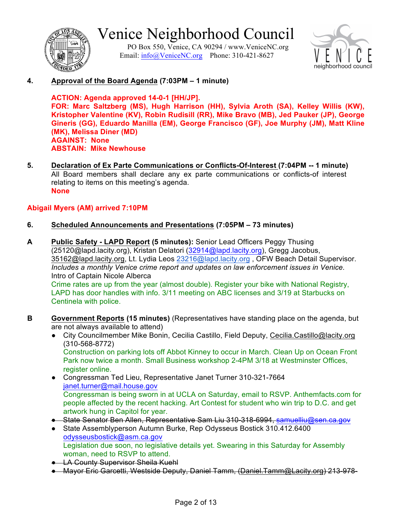

PO Box 550, Venice, CA 90294 / www.VeniceNC.org Email: info@VeniceNC.org Phone: 310-421-8627



**4. Approval of the Board Agenda (7:03PM – 1 minute)**

**ACTION: Agenda approved 14-0-1 [HH/JP]. FOR: Marc Saltzberg (MS), Hugh Harrison (HH), Sylvia Aroth (SA), Kelley Willis (KW), Kristopher Valentine (KV), Robin Rudisill (RR), Mike Bravo (MB), Jed Pauker (JP), George Gineris (GG), Eduardo Manilla (EM), George Francisco (GF), Joe Murphy (JM), Matt Kline (MK), Melissa Diner (MD) AGAINST: None ABSTAIN: Mike Newhouse**

**5. Declaration of Ex Parte Communications or Conflicts-Of-Interest (7:04PM -- 1 minute)**  All Board members shall declare any ex parte communications or conflicts-of interest relating to items on this meeting's agenda. **None**

### **Abigail Myers (AM) arrived 7:10PM**

- **6. Scheduled Announcements and Presentations (7:05PM – 73 minutes)**
- **A Public Safety - LAPD Report (5 minutes):** Senior Lead Officers Peggy Thusing (25120@lapd.lacity.org), Kristan Delatori (32914@lapd.lacity.org), Gregg Jacobus, 35162@lapd.lacity.org, Lt. Lydia Leos 23216@lapd.lacity.org , OFW Beach Detail Supervisor. *Includes a monthly Venice crime report and updates on law enforcement issues in Venice.* Intro of Captain Nicole Alberca Crime rates are up from the year (almost double). Register your bike with National Registry, LAPD has door handles with info. 3/11 meeting on ABC licenses and 3/19 at Starbucks on Centinela with police.
- **B Government Reports (15 minutes)** (Representatives have standing place on the agenda, but are not always available to attend)
	- City Councilmember Mike Bonin, Cecilia Castillo, Field Deputy, Cecilia.Castillo@lacity.org (310-568-8772) Construction on parking lots off Abbot Kinney to occur in March. Clean Up on Ocean Front Park now twice a month. Small Business workshop 2-4PM 3/18 at Westminster Offices, register online.
	- Congressman Ted Lieu, Representative Janet Turner 310-321-7664 janet.turner@mail.house.gov Congressman is being sworn in at UCLA on Saturday, email to RSVP. Anthemfacts.com for people affected by the recent hacking. Art Contest for student who win trip to D.C. and get artwork hung in Capitol for year.
	- State Senator Ben Allen, Representative Sam Liu 310-318-6994, samuelliu@sen.ca.gov
	- State Assemblyperson Autumn Burke, Rep Odysseus Bostick 310.412.6400 odysseusbostick@asm.ca.gov Legislation due soon, no legislative details yet. Swearing in this Saturday for Assembly woman, need to RSVP to attend.
	- LA County Supervisor Sheila Kuehl
	- Mayor Eric Garcetti, Westside Deputy, Daniel Tamm, (Daniel.Tamm@Lacity.org) 213-978-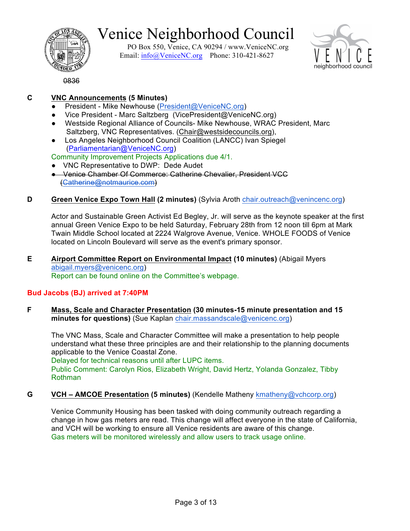

PO Box 550, Venice, CA 90294 / www.VeniceNC.org Email: info@VeniceNC.org Phone: 310-421-8627



0836

## **C VNC Announcements (5 Minutes)**

- President Mike Newhouse (President@VeniceNC.org)
- Vice President Marc Saltzberg (VicePresident@VeniceNC.org)
- Westside Regional Alliance of Councils- Mike Newhouse, WRAC President, Marc Saltzberg, VNC Representatives. (Chair@westsidecouncils.org),
- Los Angeles Neighborhood Council Coalition (LANCC) Ivan Spiegel (Parliamentarian@VeniceNC.org)

## Community Improvement Projects Applications due 4/1.

- VNC Representative to DWP: Dede Audet
- Venice Chamber Of Commerce: Catherine Chevalier, President VCC (Catherine@notmaurice.com)

### **D Green Venice Expo Town Hall (2 minutes)** (Sylvia Aroth chair.outreach@venincenc.org)

Actor and Sustainable Green Activist Ed Begley, Jr. will serve as the keynote speaker at the first annual Green Venice Expo to be held Saturday, February 28th from 12 noon till 6pm at Mark Twain Middle School located at 2224 Walgrove Avenue, Venice. WHOLE FOODS of Venice located on Lincoln Boulevard will serve as the event's primary sponsor.

#### **E Airport Committee Report on Environmental Impact (10 minutes)** (Abigail Myers abigail.myers@venicenc.org) Report can be found online on the Committee's webpage.

### **Bud Jacobs (BJ) arrived at 7:40PM**

**F Mass, Scale and Character Presentation (30 minutes-15 minute presentation and 15 minutes for questions)** (Sue Kaplan chair.massandscale@venicenc.org)

The VNC Mass, Scale and Character Committee will make a presentation to help people understand what these three principles are and their relationship to the planning documents applicable to the Venice Coastal Zone.

Delayed for technical reasons until after LUPC items.

Public Comment: Carolyn Rios, Elizabeth Wright, David Hertz, Yolanda Gonzalez, Tibby Rothman

### **G VCH – AMCOE Presentation (5 minutes)** (Kendelle Matheny kmatheny@vchcorp.org)

Venice Community Housing has been tasked with doing community outreach regarding a change in how gas meters are read. This change will affect everyone in the state of California, and VCH will be working to ensure all Venice residents are aware of this change. Gas meters will be monitored wirelessly and allow users to track usage online.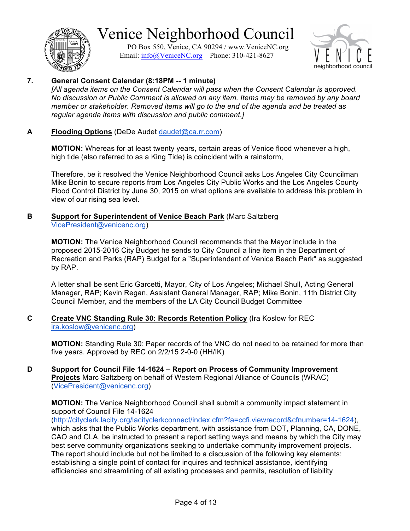

PO Box 550, Venice, CA 90294 / www.VeniceNC.org Email: info@VeniceNC.org Phone: 310-421-8627



### **7. General Consent Calendar (8:18PM -- 1 minute)**

[All agenda items on the Consent Calendar will pass when the Consent Calendar is approved. *No discussion or Public Comment is allowed on any item. Items may be removed by any board member or stakeholder. Removed items will go to the end of the agenda and be treated as regular agenda items with discussion and public comment.]*

#### **A Flooding Options** (DeDe Audet daudet@ca.rr.com)

**MOTION:** Whereas for at least twenty years, certain areas of Venice flood whenever a high, high tide (also referred to as a King Tide) is coincident with a rainstorm,

Therefore, be it resolved the Venice Neighborhood Council asks Los Angeles City Councilman Mike Bonin to secure reports from Los Angeles City Public Works and the Los Angeles County Flood Control District by June 30, 2015 on what options are available to address this problem in view of our rising sea level.

#### **B Support for Superintendent of Venice Beach Park** (Marc Saltzberg VicePresident@venicenc.org)

**MOTION:** The Venice Neighborhood Council recommends that the Mayor include in the proposed 2015-2016 City Budget he sends to City Council a line item in the Department of Recreation and Parks (RAP) Budget for a "Superintendent of Venice Beach Park" as suggested by RAP.

A letter shall be sent Eric Garcetti, Mayor, City of Los Angeles; Michael Shull, Acting General Manager, RAP; Kevin Regan, Assistant General Manager, RAP; Mike Bonin, 11th District City Council Member, and the members of the LA City Council Budget Committee

#### **C Create VNC Standing Rule 30: Records Retention Policy** (Ira Koslow for REC ira.koslow@venicenc.org)

**MOTION:** Standing Rule 30: Paper records of the VNC do not need to be retained for more than five years. Approved by REC on 2/2/15 2-0-0 (HH/IK)

#### **D Support for Council File 14-1624 – Report on Process of Community Improvement Projects** Marc Saltzberg on behalf of Western Regional Alliance of Councils (WRAC) (VicePresident@venicenc.org)

**MOTION:** The Venice Neighborhood Council shall submit a community impact statement in support of Council File 14-1624

(http://cityclerk.lacity.org/lacityclerkconnect/index.cfm?fa=ccfi.viewrecord&cfnumber=14-1624), which asks that the Public Works department, with assistance from DOT, Planning, CA, DONE, CAO and CLA, be instructed to present a report setting ways and means by which the City may best serve community organizations seeking to undertake community improvement projects. The report should include but not be limited to a discussion of the following key elements: establishing a single point of contact for inquires and technical assistance, identifying efficiencies and streamlining of all existing processes and permits, resolution of liability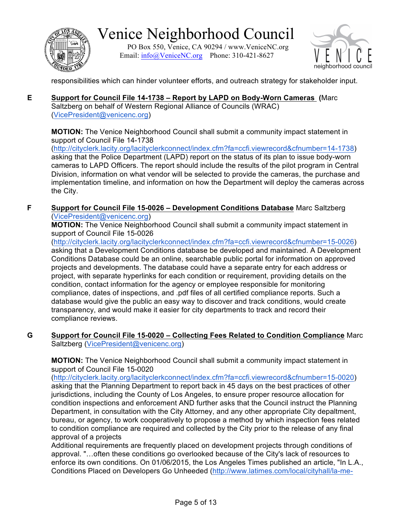

PO Box 550, Venice, CA 90294 / www.VeniceNC.org Email: info@VeniceNC.org Phone: 310-421-8627



responsibilities which can hinder volunteer efforts, and outreach strategy for stakeholder input.

**E Support for Council File 14-1738 – Report by LAPD on Body-Worn Cameras (**Marc Saltzberg on behalf of Western Regional Alliance of Councils (WRAC) (VicePresident@venicenc.org)

**MOTION:** The Venice Neighborhood Council shall submit a community impact statement in support of Council File 14-1738

(http://cityclerk.lacity.org/lacityclerkconnect/index.cfm?fa=ccfi.viewrecord&cfnumber=14-1738) asking that the Police Department (LAPD) report on the status of its plan to issue body-worn cameras to LAPD Officers. The report should include the results of the pilot program in Central Division, information on what vendor will be selected to provide the cameras, the purchase and implementation timeline, and information on how the Department will deploy the cameras across the City.

**F Support for Council File 15-0026 – Development Conditions Database** Marc Saltzberg (VicePresident@venicenc.org)

**MOTION:** The Venice Neighborhood Council shall submit a community impact statement in support of Council File 15-0026

(http://cityclerk.lacity.org/lacityclerkconnect/index.cfm?fa=ccfi.viewrecord&cfnumber=15-0026) asking that a Development Conditions database be developed and maintained. A Development Conditions Database could be an online, searchable public portal for information on approved projects and developments. The database could have a separate entry for each address or project, with separate hyperlinks for each condition or requirement, providing details on the condition, contact information for the agency or employee responsible for monitoring compliance, dates of inspections, and .pdf files of all certified compliance reports. Such a database would give the public an easy way to discover and track conditions, would create transparency, and would make it easier for city departments to track and record their compliance reviews.

**G Support for Council File 15-0020 – Collecting Fees Related to Condition Compliance** Marc Saltzberg (VicePresident@venicenc.org)

**MOTION:** The Venice Neighborhood Council shall submit a community impact statement in support of Council File 15-0020

(http://cityclerk.lacity.org/lacityclerkconnect/index.cfm?fa=ccfi.viewrecord&cfnumber=15-0020) asking that the Planning Department to report back in 45 days on the best practices of other jurisdictions, including the County of Los Angeles, to ensure proper resource allocation for condition inspections and enforcement AND further asks that the Council instruct the Planning Department, in consultation with the City Attorney, and any other appropriate City depaltment, bureau, or agency, to work cooperatively to propose a method by which inspection fees related to condition compliance are required and collected by the City prior to the release of any final approval of a projects

Additional requirements are frequently placed on development projects through conditions of approval. "…often these conditions go overlooked because of the City's lack of resources to enforce its own conditions. On 01/06/2015, the Los Angeles Times published an article, "In L.A., Conditions Placed on Developers Go Unheeded (http://www.latimes.com/local/cityhall/la-me-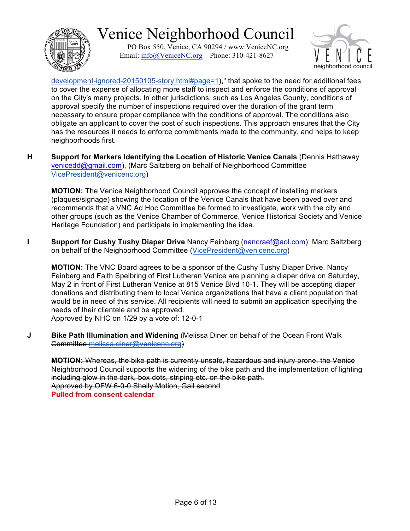

PO Box 550, Venice, CA 90294 / www.VeniceNC.org Email: info@VeniceNC.org Phone: 310-421-8627



development-ignored-20150105-story.html#page=1)," that spoke to the need for additional fees to cover the expense of allocating more staff to inspect and enforce the conditions of approval on the City's many projects. In other jurisdictions, such as Los Angeles County, conditions of approval specify the number of inspections required over the duration of the grant term necessary to ensure proper compliance with the conditions of approval. The conditions also obligate an applicant to cover the cost of such inspections. This approach ensures that the City has the resources it needs to enforce commitments made to the community, and helps to keep neighborhoods first.

**H Support for Markers Identifying the Location of Historic Venice Canals** (Dennis Hathaway venicedd@gmail.com), (Marc Saltzberg on behalf of Neighborhood Committee VicePresident@venicenc.org)

**MOTION:** The Venice Neighborhood Council approves the concept of installing markers (plaques/signage) showing the location of the Venice Canals that have been paved over and recommends that a VNC Ad Hoc Committee be formed to investigate, work with the city and other groups (such as the Venice Chamber of Commerce, Venice Historical Society and Venice Heritage Foundation) and participate in implementing the idea.

**I Support for Cushy Tushy Diaper Drive** Nancy Feinberg (nancraef@aol.com); Marc Saltzberg on behalf of the Neighborhood Committee (VicePresident@venicenc.org)

**MOTION:** The VNC Board agrees to be a sponsor of the Cushy Tushy Diaper Drive. Nancy Feinberg and Faith Spelbring of First Lutheran Venice are planning a diaper drive on Saturday, May 2 in front of First Lutheran Venice at 815 Venice Blvd 10-1. They will be accepting diaper donations and distributing them to local Venice organizations that have a client population that would be in need of this service. All recipients will need to submit an application specifying the needs of their clientele and be approved.

Approved by NHC on 1/29 by a vote of: 12-0-1

**J Bike Path Illumination and Widening** (Melissa Diner on behalf of the Ocean Front Walk Committee melissa.diner@venicenc.org)

**MOTION:** Whereas, the bike path is currently unsafe, hazardous and injury prone, the Venice Neighborhood Council supports the widening of the bike path and the implementation of lighting including glow in the dark, box dots, striping etc. on the bike path. Approved by OFW 6-0-0 Shelly Motion, Gail second **Pulled from consent calendar**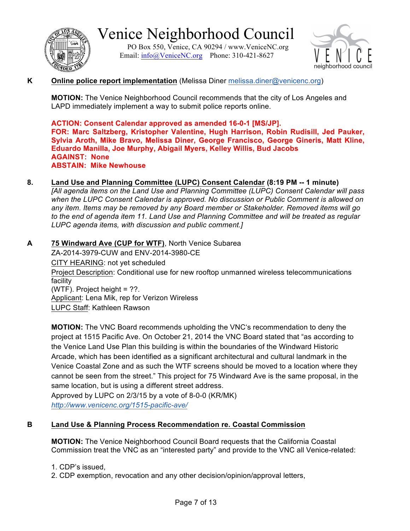

PO Box 550, Venice, CA 90294 / www.VeniceNC.org Email: info@VeniceNC.org Phone: 310-421-8627



### **K Online police report implementation** (Melissa Diner melissa.diner@venicenc.org)

**MOTION:** The Venice Neighborhood Council recommends that the city of Los Angeles and LAPD immediately implement a way to submit police reports online.

**ACTION: Consent Calendar approved as amended 16-0-1 [MS/JP]. FOR: Marc Saltzberg, Kristopher Valentine, Hugh Harrison, Robin Rudisill, Jed Pauker, Sylvia Aroth, Mike Bravo, Melissa Diner, George Francisco, George Gineris, Matt Kline, Eduardo Manilla, Joe Murphy, Abigail Myers, Kelley Willis, Bud Jacobs AGAINST: None ABSTAIN: Mike Newhouse**

### **8. Land Use and Planning Committee (LUPC) Consent Calendar (8:19 PM -- 1 minute)**

*[All agenda items on the Land Use and Planning Committee (LUPC) Consent Calendar will pass when the LUPC Consent Calendar is approved. No discussion or Public Comment is allowed on any item. Items may be removed by any Board member or Stakeholder. Removed items will go to the end of agenda item 11. Land Use and Planning Committee and will be treated as regular LUPC agenda items, with discussion and public comment.]*

**A 75 Windward Ave (CUP for WTF)**, North Venice Subarea ZA-2014-3979-CUW and ENV-2014-3980-CE CITY HEARING: not yet scheduled Project Description: Conditional use for new rooftop unmanned wireless telecommunications facility (WTF). Project height = ??. Applicant: Lena Mik, rep for Verizon Wireless LUPC Staff: Kathleen Rawson

**MOTION:** The VNC Board recommends upholding the VNC's recommendation to deny the project at 1515 Pacific Ave. On October 21, 2014 the VNC Board stated that "as according to the Venice Land Use Plan this building is within the boundaries of the Windward Historic Arcade, which has been identified as a significant architectural and cultural landmark in the Venice Coastal Zone and as such the WTF screens should be moved to a location where they cannot be seen from the street." This project for 75 Windward Ave is the same proposal, in the same location, but is using a different street address.

Approved by LUPC on 2/3/15 by a vote of 8-0-0 (KR/MK) *http://www.venicenc.org/1515-pacific-ave/*

### **B Land Use & Planning Process Recommendation re. Coastal Commission**

**MOTION:** The Venice Neighborhood Council Board requests that the California Coastal Commission treat the VNC as an "interested party" and provide to the VNC all Venice-related:

- 1. CDP's issued,
- 2. CDP exemption, revocation and any other decision/opinion/approval letters,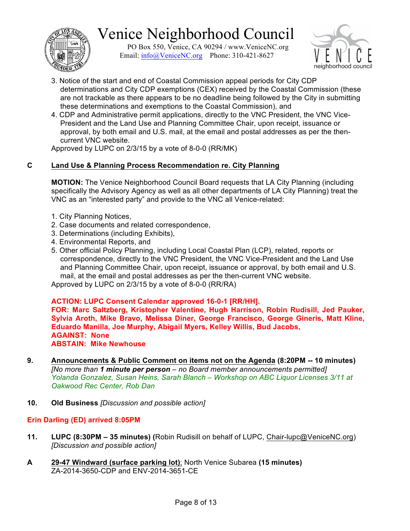

PO Box 550, Venice, CA 90294 / www.VeniceNC.org Email: info@VeniceNC.org Phone: 310-421-8627



- 3. Notice of the start and end of Coastal Commission appeal periods for City CDP determinations and City CDP exemptions (CEX) received by the Coastal Commission (these are not trackable as there appears to be no deadline being followed by the City in submitting these determinations and exemptions to the Coastal Commission), and
- 4. CDP and Administrative permit applications, directly to the VNC President, the VNC Vice-President and the Land Use and Planning Committee Chair, upon receipt, issuance or approval, by both email and U.S. mail, at the email and postal addresses as per the thencurrent VNC website.

Approved by LUPC on 2/3/15 by a vote of 8-0-0 (RR/MK)

## **C Land Use & Planning Process Recommendation re. City Planning**

**MOTION:** The Venice Neighborhood Council Board requests that LA City Planning (including specifically the Advisory Agency as well as all other departments of LA City Planning) treat the VNC as an "interested party" and provide to the VNC all Venice-related:

- 1. City Planning Notices,
- 2. Case documents and related correspondence,
- 3. Determinations (including Exhibits),
- 4. Environmental Reports, and
- 5. Other official Policy Planning, including Local Coastal Plan (LCP), related, reports or correspondence, directly to the VNC President, the VNC Vice-President and the Land Use and Planning Committee Chair, upon receipt, issuance or approval, by both email and U.S. mail, at the email and postal addresses as per the then-current VNC website.

Approved by LUPC on 2/3/15 by a vote of 8-0-0 (RR/RA)

### **ACTION: LUPC Consent Calendar approved 16-0-1 [RR/HH].**

**FOR: Marc Saltzberg, Kristopher Valentine, Hugh Harrison, Robin Rudisill, Jed Pauker, Sylvia Aroth, Mike Bravo, Melissa Diner, George Francisco, George Gineris, Matt Kline, Eduardo Manilla, Joe Murphy, Abigail Myers, Kelley Willis, Bud Jacobs, AGAINST: None ABSTAIN: Mike Newhouse**

- **9. Announcements & Public Comment on items not on the Agenda (8:20PM -- 10 minutes)** *[No more than 1 minute per person – no Board member announcements permitted] Yolanda Gonzalez, Susan Heins, Sarah Blanch – Workshop on ABC Liquor Licenses 3/11 at Oakwood Rec Center, Rob Dan*
- **10. Old Business** *[Discussion and possible action]*

### **Erin Darling (ED) arrived 8:05PM**

- **11. LUPC (8:30PM – 35 minutes) (**Robin Rudisill on behalf of LUPC, Chair-lupc@VeniceNC.org) *[Discussion and possible action]*
- **A 29-47 Windward (surface parking lot)**; North Venice Subarea **(15 minutes)** ZA-2014-3650-CDP and ENV-2014-3651-CE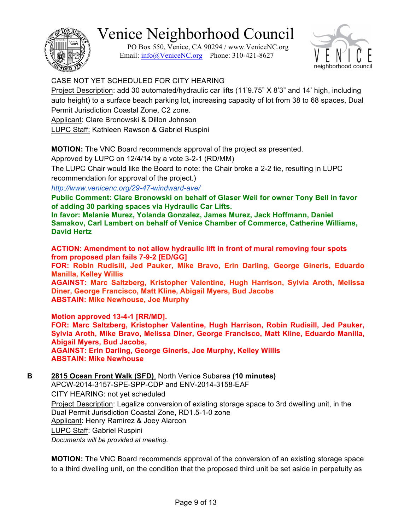PO Box 550, Venice, CA 90294 / www.VeniceNC.org Email: info@VeniceNC.org Phone: 310-421-8627



## CASE NOT YET SCHEDULED FOR CITY HEARING

Project Description: add 30 automated/hydraulic car lifts (11'9.75" X 8'3" and 14' high, including auto height) to a surface beach parking lot, increasing capacity of lot from 38 to 68 spaces, Dual Permit Jurisdiction Coastal Zone, C2 zone.

Applicant: Clare Bronowski & Dillon Johnson

LUPC Staff: Kathleen Rawson & Gabriel Ruspini

**MOTION:** The VNC Board recommends approval of the project as presented.

Approved by LUPC on 12/4/14 by a vote 3-2-1 (RD/MM)

The LUPC Chair would like the Board to note: the Chair broke a 2-2 tie, resulting in LUPC recommendation for approval of the project.)

*http://www.venicenc.org/29-47-windward-ave/*

**Public Comment: Clare Bronowski on behalf of Glaser Weil for owner Tony Bell in favor of adding 30 parking spaces via Hydraulic Car Lifts.**

**In favor: Melanie Murez, Yolanda Gonzalez, James Murez, Jack Hoffmann, Daniel Samakov, Carl Lambert on behalf of Venice Chamber of Commerce, Catherine Williams, David Hertz**

**ACTION: Amendment to not allow hydraulic lift in front of mural removing four spots from proposed plan fails 7-9-2 [ED/GG]**

**FOR: Robin Rudisill, Jed Pauker, Mike Bravo, Erin Darling, George Gineris, Eduardo Manilla, Kelley Willis**

**AGAINST: Marc Saltzberg, Kristopher Valentine, Hugh Harrison, Sylvia Aroth, Melissa Diner, George Francisco, Matt Kline, Abigail Myers, Bud Jacobs ABSTAIN: Mike Newhouse, Joe Murphy**

**Motion approved 13-4-1 [RR/MD]. FOR: Marc Saltzberg, Kristopher Valentine, Hugh Harrison, Robin Rudisill, Jed Pauker, Sylvia Aroth, Mike Bravo, Melissa Diner, George Francisco, Matt Kline, Eduardo Manilla, Abigail Myers, Bud Jacobs, AGAINST: Erin Darling, George Gineris, Joe Murphy, Kelley Willis ABSTAIN: Mike Newhouse**

**B 2815 Ocean Front Walk (SFD)**, North Venice Subarea **(10 minutes)** APCW-2014-3157-SPE-SPP-CDP and ENV-2014-3158-EAF CITY HEARING: not yet scheduled Project Description: Legalize conversion of existing storage space to 3rd dwelling unit, in the Dual Permit Jurisdiction Coastal Zone, RD1.5-1-0 zone Applicant: Henry Ramirez & Joey Alarcon LUPC Staff: Gabriel Ruspini *Documents will be provided at meeting.*

**MOTION:** The VNC Board recommends approval of the conversion of an existing storage space to a third dwelling unit, on the condition that the proposed third unit be set aside in perpetuity as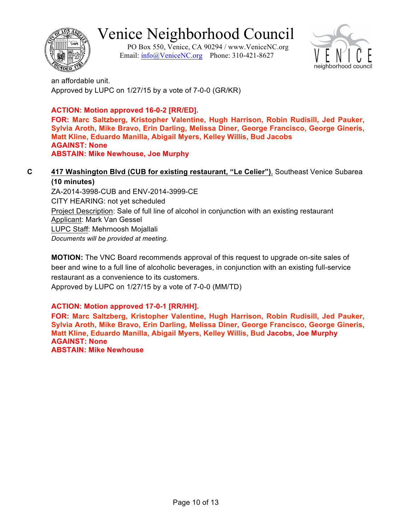

PO Box 550, Venice, CA 90294 / www.VeniceNC.org Email: info@VeniceNC.org Phone: 310-421-8627



an affordable unit. Approved by LUPC on 1/27/15 by a vote of 7-0-0 (GR/KR)

## **ACTION: Motion approved 16-0-2 [RR/ED].**

**FOR: Marc Saltzberg, Kristopher Valentine, Hugh Harrison, Robin Rudisill, Jed Pauker, Sylvia Aroth, Mike Bravo, Erin Darling, Melissa Diner, George Francisco, George Gineris, Matt Kline, Eduardo Manilla, Abigail Myers, Kelley Willis, Bud Jacobs AGAINST: None ABSTAIN: Mike Newhouse, Joe Murphy**

#### **C 417 Washington Blvd (CUB for existing restaurant, "Le Celier")**, Southeast Venice Subarea **(10 minutes)**

ZA-2014-3998-CUB and ENV-2014-3999-CE CITY HEARING: not yet scheduled Project Description: Sale of full line of alcohol in conjunction with an existing restaurant Applicant: Mark Van Gessel LUPC Staff: Mehrnoosh Mojallali *Documents will be provided at meeting.*

**MOTION:** The VNC Board recommends approval of this request to upgrade on-site sales of beer and wine to a full line of alcoholic beverages, in conjunction with an existing full-service restaurant as a convenience to its customers.

Approved by LUPC on 1/27/15 by a vote of 7-0-0 (MM/TD)

## **ACTION: Motion approved 17-0-1 [RR/HH].**

**FOR: Marc Saltzberg, Kristopher Valentine, Hugh Harrison, Robin Rudisill, Jed Pauker, Sylvia Aroth, Mike Bravo, Erin Darling, Melissa Diner, George Francisco, George Gineris, Matt Kline, Eduardo Manilla, Abigail Myers, Kelley Willis, Bud Jacobs, Joe Murphy AGAINST: None**

**ABSTAIN: Mike Newhouse**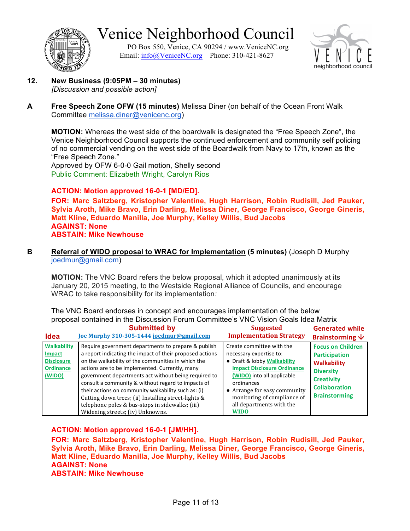

PO Box 550, Venice, CA 90294 / www.VeniceNC.org Email: info@VeniceNC.org Phone: 310-421-8627



- **12. New Business (9:05PM – 30 minutes)** *[Discussion and possible action]*
- **A Free Speech Zone OFW (15 minutes)** Melissa Diner (on behalf of the Ocean Front Walk Committee melissa.diner@venicenc.org)

**MOTION:** Whereas the west side of the boardwalk is designated the "Free Speech Zone", the Venice Neighborhood Council supports the continued enforcement and community self policing of no commercial vending on the west side of the Boardwalk from Navy to 17th, known as the "Free Speech Zone."

Approved by OFW 6-0-0 Gail motion, Shelly second Public Comment: Elizabeth Wright, Carolyn Rios

#### **ACTION: Motion approved 16-0-1 [MD/ED].**

**FOR: Marc Saltzberg, Kristopher Valentine, Hugh Harrison, Robin Rudisill, Jed Pauker, Sylvia Aroth, Mike Bravo, Erin Darling, Melissa Diner, George Francisco, George Gineris, Matt Kline, Eduardo Manilla, Joe Murphy, Kelley Willis, Bud Jacobs AGAINST: None ABSTAIN: Mike Newhouse**

**B Referral of WIDO proposal to WRAC for Implementation (5 minutes)** (Joseph D Murphy joedmur@gmail.com)

**MOTION:** The VNC Board refers the below proposal, which it adopted unanimously at its January 20, 2015 meeting, to the Westside Regional Alliance of Councils, and encourage WRAC to take responsibility for its implementation*:*

The VNC Board endorses in concept and encourages implementation of the below proposal contained in the Discussion Forum Committee's VNC Vision Goals Idea Matrix

| <b>Idea</b>                                                                     | <b>Submitted by</b>                                                                                                                                                                                                                                                                                                                                                                                                                                                                                                                        | <b>Suggested</b>                                                                                                                                                                                                                                                                | <b>Generated while</b>                                                                                                                                          |
|---------------------------------------------------------------------------------|--------------------------------------------------------------------------------------------------------------------------------------------------------------------------------------------------------------------------------------------------------------------------------------------------------------------------------------------------------------------------------------------------------------------------------------------------------------------------------------------------------------------------------------------|---------------------------------------------------------------------------------------------------------------------------------------------------------------------------------------------------------------------------------------------------------------------------------|-----------------------------------------------------------------------------------------------------------------------------------------------------------------|
|                                                                                 | Joe Murphy 310-305-1444 joedmur@gmail.com                                                                                                                                                                                                                                                                                                                                                                                                                                                                                                  | <b>Implementation Strategy</b>                                                                                                                                                                                                                                                  | Brainstorming $\sqrt{}$                                                                                                                                         |
| <b>Walkability</b><br>Impact<br><b>Disclosure</b><br><b>Ordinance</b><br>(WIDO) | Require government departments to prepare & publish<br>a report indicating the impact of their proposed actions<br>on the walkability of the communities in which the<br>actions are to be implemented. Currently, many<br>government departments act without being required to<br>consult a community & without regard to impacts of<br>their actions on community walkability such as: (i)<br>Cutting down trees; (ii) Installing street-lights &<br>telephone poles & bus-stops in sidewalks; (iii)<br>Widening streets; (iv) Unknowns. | Create committee with the<br>necessary expertise to:<br>• Draft & lobby Walkability<br><b>Impact Disclosure Ordinance</b><br>(WIDO) into all applicable<br>ordinances<br>• Arrange for easy community<br>monitoring of compliance of<br>all departments with the<br><b>WIDO</b> | <b>Focus on Children</b><br><b>Participation</b><br><b>Walkability</b><br><b>Diversity</b><br><b>Creativity</b><br><b>Collaboration</b><br><b>Brainstorming</b> |

#### **ACTION: Motion approved 16-0-1 [JM/HH].**

**FOR: Marc Saltzberg, Kristopher Valentine, Hugh Harrison, Robin Rudisill, Jed Pauker, Sylvia Aroth, Mike Bravo, Erin Darling, Melissa Diner, George Francisco, George Gineris, Matt Kline, Eduardo Manilla, Joe Murphy, Kelley Willis, Bud Jacobs AGAINST: None ABSTAIN: Mike Newhouse**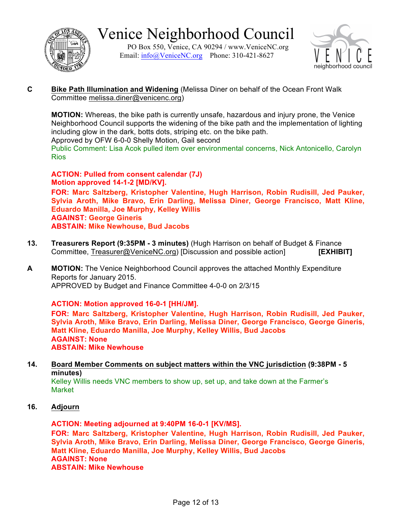

PO Box 550, Venice, CA 90294 / www.VeniceNC.org Email: info@VeniceNC.org Phone: 310-421-8627



**C Bike Path Illumination and Widening** (Melissa Diner on behalf of the Ocean Front Walk Committee melissa.diner@venicenc.org)

**MOTION:** Whereas, the bike path is currently unsafe, hazardous and injury prone, the Venice Neighborhood Council supports the widening of the bike path and the implementation of lighting including glow in the dark, botts dots, striping etc. on the bike path.

Approved by OFW 6-0-0 Shelly Motion, Gail second

Public Comment: Lisa Acok pulled item over environmental concerns, Nick Antonicello, Carolyn Rios

**ACTION: Pulled from consent calendar (7J) Motion approved 14-1-2 [MD/KV].**

**FOR: Marc Saltzberg, Kristopher Valentine, Hugh Harrison, Robin Rudisill, Jed Pauker, Sylvia Aroth, Mike Bravo, Erin Darling, Melissa Diner, George Francisco, Matt Kline, Eduardo Manilla, Joe Murphy, Kelley Willis AGAINST: George Gineris ABSTAIN: Mike Newhouse, Bud Jacobs**

- **13. Treasurers Report (9:35PM - 3 minutes)** (Hugh Harrison on behalf of Budget & Finance Committee, Treasurer@VeniceNC.org) [Discussion and possible action] **[EXHIBIT]**
- **A MOTION:** The Venice Neighborhood Council approves the attached Monthly Expenditure Reports for January 2015. APPROVED by Budget and Finance Committee 4-0-0 on 2/3/15

**ACTION: Motion approved 16-0-1 [HH/JM].**

**FOR: Marc Saltzberg, Kristopher Valentine, Hugh Harrison, Robin Rudisill, Jed Pauker, Sylvia Aroth, Mike Bravo, Erin Darling, Melissa Diner, George Francisco, George Gineris, Matt Kline, Eduardo Manilla, Joe Murphy, Kelley Willis, Bud Jacobs AGAINST: None ABSTAIN: Mike Newhouse**

**14. Board Member Comments on subject matters within the VNC jurisdiction (9:38PM - 5 minutes)**

Kelley Willis needs VNC members to show up, set up, and take down at the Farmer's Market

**16. Adjourn**

**ACTION: Meeting adjourned at 9:40PM 16-0-1 [KV/MS].**

**FOR: Marc Saltzberg, Kristopher Valentine, Hugh Harrison, Robin Rudisill, Jed Pauker, Sylvia Aroth, Mike Bravo, Erin Darling, Melissa Diner, George Francisco, George Gineris, Matt Kline, Eduardo Manilla, Joe Murphy, Kelley Willis, Bud Jacobs AGAINST: None ABSTAIN: Mike Newhouse**